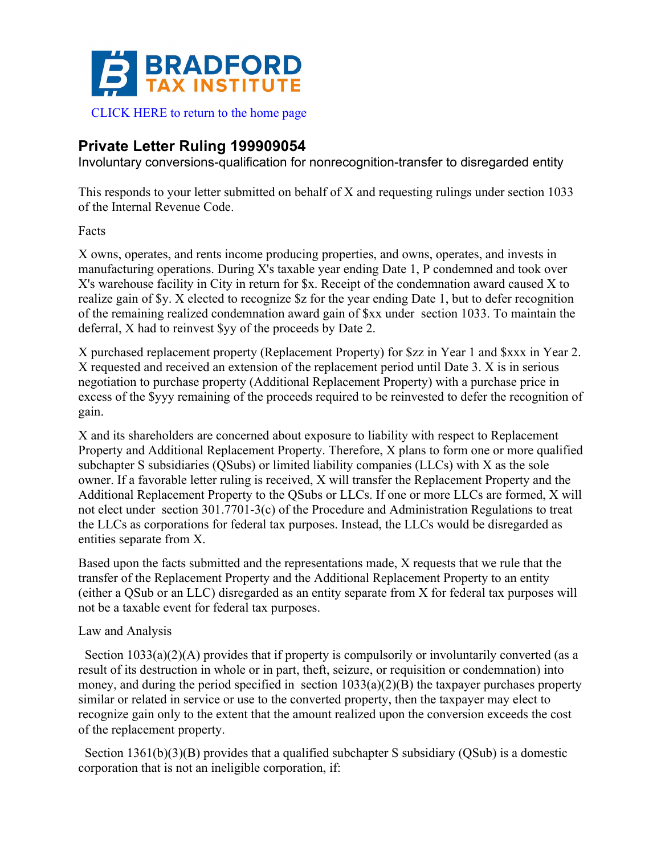

## **Private Letter Ruling 199909054**

Involuntary conversions-qualification for nonrecognition-transfer to disregarded entity

This responds to your letter submitted on behalf of X and requesting rulings under section 1033 of the Internal Revenue Code.

## Facts

X owns, operates, and rents income producing properties, and owns, operates, and invests in manufacturing operations. During X's taxable year ending Date 1, P condemned and took over X's warehouse facility in City in return for \$x. Receipt of the condemnation award caused X to realize gain of \$y. X elected to recognize \$z for the year ending Date 1, but to defer recognition of the remaining realized condemnation award gain of \$xx under section 1033. To maintain the deferral, X had to reinvest \$yy of the proceeds by Date 2.

X purchased replacement property (Replacement Property) for \$zz in Year 1 and \$xxx in Year 2. X requested and received an extension of the replacement period until Date 3. X is in serious negotiation to purchase property (Additional Replacement Property) with a purchase price in excess of the \$yyy remaining of the proceeds required to be reinvested to defer the recognition of gain.

X and its shareholders are concerned about exposure to liability with respect to Replacement Property and Additional Replacement Property. Therefore, X plans to form one or more qualified subchapter S subsidiaries (QSubs) or limited liability companies (LLCs) with X as the sole owner. If a favorable letter ruling is received, X will transfer the Replacement Property and the Additional Replacement Property to the QSubs or LLCs. If one or more LLCs are formed, X will not elect under section 301.7701-3(c) of the Procedure and Administration Regulations to treat the LLCs as corporations for federal tax purposes. Instead, the LLCs would be disregarded as entities separate from X.

Based upon the facts submitted and the representations made, X requests that we rule that the transfer of the Replacement Property and the Additional Replacement Property to an entity (either a QSub or an LLC) disregarded as an entity separate from X for federal tax purposes will not be a taxable event for federal tax purposes.

## Law and Analysis

Section 1033(a)(2)(A) provides that if property is compulsorily or involuntarily converted (as a result of its destruction in whole or in part, theft, seizure, or requisition or condemnation) into money, and during the period specified in section  $1033(a)(2)(B)$  the taxpayer purchases property similar or related in service or use to the converted property, then the taxpayer may elect to recognize gain only to the extent that the amount realized upon the conversion exceeds the cost of the replacement property.

Section 1361(b)(3)(B) provides that a qualified subchapter S subsidiary (QSub) is a domestic corporation that is not an ineligible corporation, if: